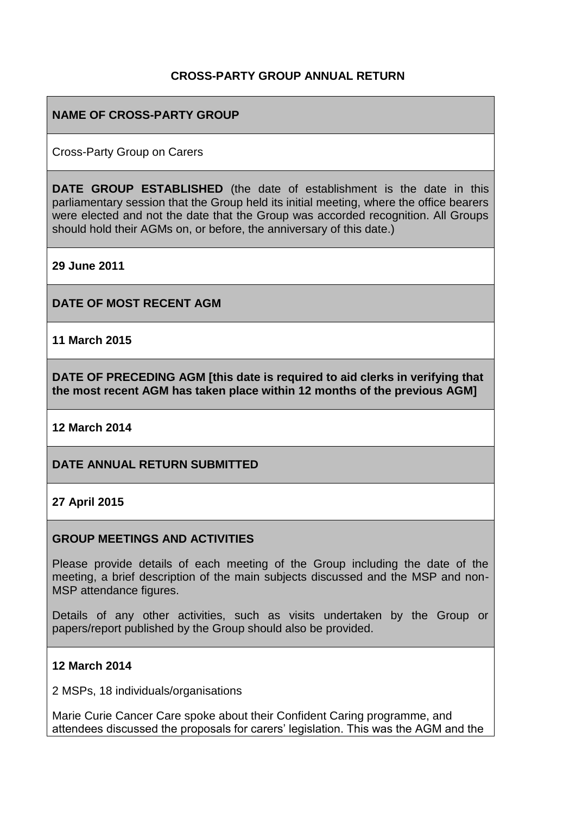## **CROSS-PARTY GROUP ANNUAL RETURN**

## **NAME OF CROSS-PARTY GROUP**

Cross-Party Group on Carers

**DATE GROUP ESTABLISHED** (the date of establishment is the date in this parliamentary session that the Group held its initial meeting, where the office bearers were elected and not the date that the Group was accorded recognition. All Groups should hold their AGMs on, or before, the anniversary of this date.)

**29 June 2011**

**DATE OF MOST RECENT AGM**

**11 March 2015**

**DATE OF PRECEDING AGM [this date is required to aid clerks in verifying that the most recent AGM has taken place within 12 months of the previous AGM]**

**12 March 2014**

### **DATE ANNUAL RETURN SUBMITTED**

### **27 April 2015**

#### **GROUP MEETINGS AND ACTIVITIES**

Please provide details of each meeting of the Group including the date of the meeting, a brief description of the main subjects discussed and the MSP and non-MSP attendance figures.

Details of any other activities, such as visits undertaken by the Group or papers/report published by the Group should also be provided.

#### **12 March 2014**

2 MSPs, 18 individuals/organisations

Marie Curie Cancer Care spoke about their Confident Caring programme, and attendees discussed the proposals for carers' legislation. This was the AGM and the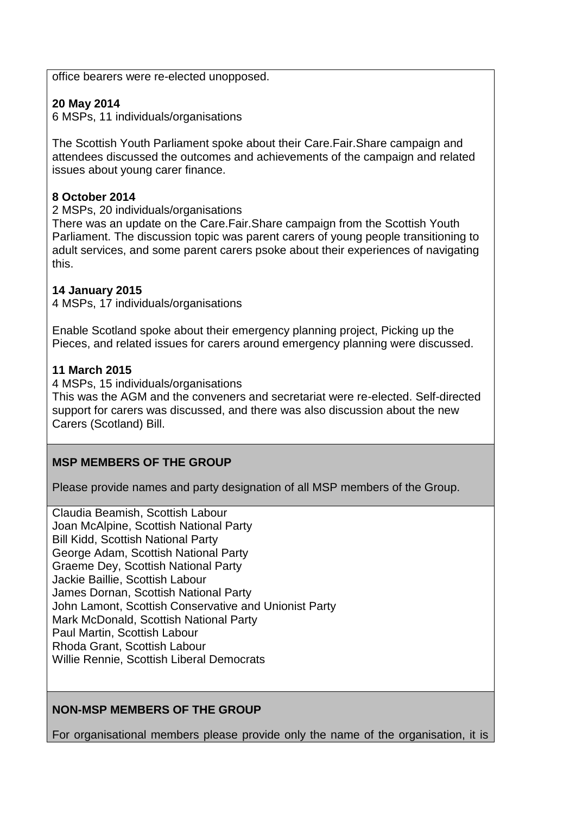office bearers were re-elected unopposed.

# **20 May 2014**

6 MSPs, 11 individuals/organisations

The Scottish Youth Parliament spoke about their Care.Fair.Share campaign and attendees discussed the outcomes and achievements of the campaign and related issues about young carer finance.

## **8 October 2014**

2 MSPs, 20 individuals/organisations

There was an update on the Care.Fair.Share campaign from the Scottish Youth Parliament. The discussion topic was parent carers of young people transitioning to adult services, and some parent carers psoke about their experiences of navigating this.

### **14 January 2015**

4 MSPs, 17 individuals/organisations

Enable Scotland spoke about their emergency planning project, Picking up the Pieces, and related issues for carers around emergency planning were discussed.

### **11 March 2015**

4 MSPs, 15 individuals/organisations

This was the AGM and the conveners and secretariat were re-elected. Self-directed support for carers was discussed, and there was also discussion about the new Carers (Scotland) Bill.

# **MSP MEMBERS OF THE GROUP**

Please provide names and party designation of all MSP members of the Group.

Claudia Beamish, Scottish Labour Joan McAlpine, Scottish National Party [Bill Kidd,](http://www.scottish.parliament.uk/msps/currentmsps/Bill-Kidd-MSP.aspx) Scottish National Party [George Adam,](http://www.scottish.parliament.uk/msps/currentmsps/George-Adam-MSP.aspx) Scottish National Party [Graeme Dey,](http://www.scottish.parliament.uk/msps/currentmsps/Graeme-Dey-MSP.aspx) Scottish National Party [Jackie Baillie,](http://www.scottish.parliament.uk/msps/currentmsps/Jackie-Baillie-MSP.aspx) Scottish Labour [James Dornan,](http://www.scottish.parliament.uk/msps/currentmsps/James-Dornan-MSP.aspx) Scottish National Party [John Lamont,](http://www.scottish.parliament.uk/msps/currentmsps/John-Lamont-MSP.aspx) Scottish Conservative and Unionist Party [Mark McDonald,](http://www.scottish.parliament.uk/msps/currentmsps/65200.aspx) Scottish National Party [Paul Martin,](http://www.scottish.parliament.uk/msps/currentmsps/Paul-Martin-MSP.aspx) Scottish Labour [Rhoda Grant,](http://www.scottish.parliament.uk/msps/currentmsps/Rhoda-Grant-MSP.aspx) Scottish Labour [Willie Rennie,](http://www.scottish.parliament.uk/msps/currentmsps/Willie-Rennie-MSP.aspx) Scottish Liberal Democrats

# **NON-MSP MEMBERS OF THE GROUP**

For organisational members please provide only the name of the organisation, it is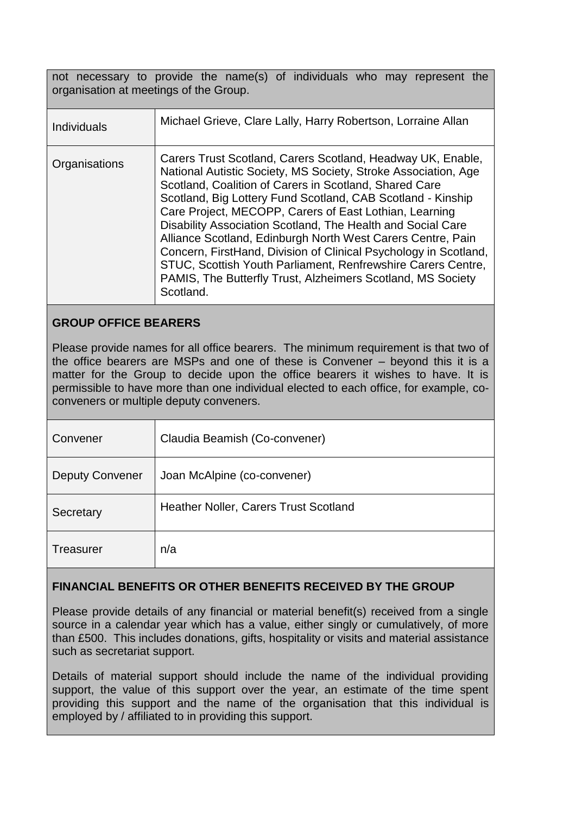not necessary to provide the name(s) of individuals who may represent the organisation at meetings of the Group.

| <b>Individuals</b> | Michael Grieve, Clare Lally, Harry Robertson, Lorraine Allan                                                                                                                                                                                                                                                                                                                                                                                                                                                                                                                                                                                                   |
|--------------------|----------------------------------------------------------------------------------------------------------------------------------------------------------------------------------------------------------------------------------------------------------------------------------------------------------------------------------------------------------------------------------------------------------------------------------------------------------------------------------------------------------------------------------------------------------------------------------------------------------------------------------------------------------------|
| Organisations      | Carers Trust Scotland, Carers Scotland, Headway UK, Enable,<br>National Autistic Society, MS Society, Stroke Association, Age<br>Scotland, Coalition of Carers in Scotland, Shared Care<br>Scotland, Big Lottery Fund Scotland, CAB Scotland - Kinship<br>Care Project, MECOPP, Carers of East Lothian, Learning<br>Disability Association Scotland, The Health and Social Care<br>Alliance Scotland, Edinburgh North West Carers Centre, Pain<br>Concern, FirstHand, Division of Clinical Psychology in Scotland,<br>STUC, Scottish Youth Parliament, Renfrewshire Carers Centre,<br>PAMIS, The Butterfly Trust, Alzheimers Scotland, MS Society<br>Scotland. |

# **GROUP OFFICE BEARERS**

Please provide names for all office bearers. The minimum requirement is that two of the office bearers are MSPs and one of these is Convener – beyond this it is a matter for the Group to decide upon the office bearers it wishes to have. It is permissible to have more than one individual elected to each office, for example, coconveners or multiple deputy conveners.

| Convener               | Claudia Beamish (Co-convener)         |
|------------------------|---------------------------------------|
| <b>Deputy Convener</b> | Joan McAlpine (co-convener)           |
| Secretary              | Heather Noller, Carers Trust Scotland |
| Treasurer              | n/a                                   |

# **FINANCIAL BENEFITS OR OTHER BENEFITS RECEIVED BY THE GROUP**

Please provide details of any financial or material benefit(s) received from a single source in a calendar year which has a value, either singly or cumulatively, of more than £500. This includes donations, gifts, hospitality or visits and material assistance such as secretariat support.

Details of material support should include the name of the individual providing support, the value of this support over the year, an estimate of the time spent providing this support and the name of the organisation that this individual is employed by / affiliated to in providing this support.